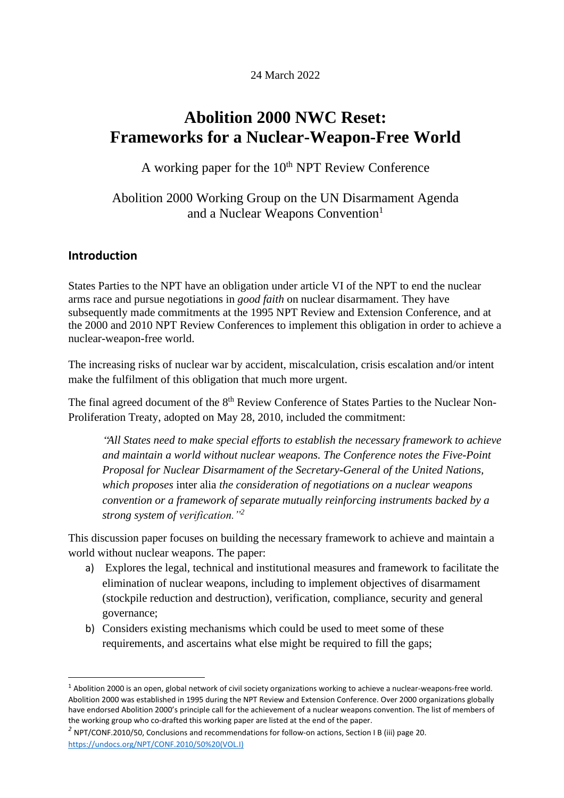24 March 2022

# **Abolition 2000 NWC Reset: Frameworks for a Nuclear-Weapon-Free World**

A working paper for the  $10<sup>th</sup>$  NPT Review Conference

Abolition 2000 Working Group on the UN Disarmament Agenda and a Nuclear Weapons Convention<sup>1</sup>

#### **Introduction**

States Parties to the NPT have an obligation under article VI of the NPT to end the nuclear arms race and pursue negotiations in *good faith* on nuclear disarmament. They have subsequently made commitments at the 1995 NPT Review and Extension Conference, and at the 2000 and 2010 NPT Review Conferences to implement this obligation in order to achieve a nuclear-weapon-free world.

The increasing risks of nuclear war by accident, miscalculation, crisis escalation and/or intent make the fulfilment of this obligation that much more urgent.

The final agreed document of the 8<sup>th</sup> Review Conference of States Parties to the Nuclear Non-Proliferation Treaty, adopted on May 28, 2010, included the commitment:

"*All States need to make special efforts to establish the necessary framework to achieve and maintain a world without nuclear weapons. The Conference notes the Five-Point Proposal for Nuclear Disarmament of the Secretary-General of the United Nations, which proposes* inter alia *the consideration of negotiations on a nuclear weapons convention or a framework of separate mutually reinforcing instruments backed by a strong system of verification."<sup>2</sup>*

This discussion paper focuses on building the necessary framework to achieve and maintain a world without nuclear weapons. The paper:

- a) Explores the legal, technical and institutional measures and framework to facilitate the elimination of nuclear weapons, including to implement objectives of disarmament (stockpile reduction and destruction), verification, compliance, security and general governance;
- b) Considers existing mechanisms which could be used to meet some of these requirements, and ascertains what else might be required to fill the gaps;

<sup>&</sup>lt;sup>1</sup> Abolition 2000 is an open, global network of civil society organizations working to achieve a nuclear-weapons-free world. Abolition 2000 was established in 1995 during the NPT Review and Extension Conference. Over 2000 organizations globally have endorsed Abolition 2000's principle call for the achievement of a nuclear weapons convention. The list of members of the working group who co-drafted this working paper are listed at the end of the paper.

*<sup>2</sup>* NPT/CONF.2010/50, Conclusions and recommendations for follow-on actions, Section I B (iii) page 20. [https://undocs.org/NPT/CONF.2010/50%20\(VOL.I\)](https://undocs.org/NPT/CONF.2010/50%2520(VOL.I))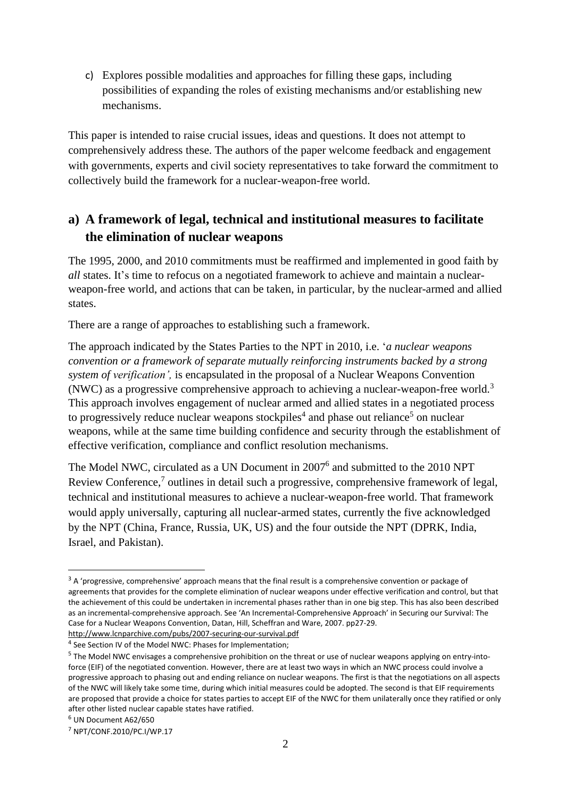c) Explores possible modalities and approaches for filling these gaps, including possibilities of expanding the roles of existing mechanisms and/or establishing new mechanisms.

This paper is intended to raise crucial issues, ideas and questions. It does not attempt to comprehensively address these. The authors of the paper welcome feedback and engagement with governments, experts and civil society representatives to take forward the commitment to collectively build the framework for a nuclear-weapon-free world.

# **a) A framework of legal, technical and institutional measures to facilitate the elimination of nuclear weapons**

The 1995, 2000, and 2010 commitments must be reaffirmed and implemented in good faith by *all* states. It's time to refocus on a negotiated framework to achieve and maintain a nuclearweapon-free world, and actions that can be taken, in particular, by the nuclear-armed and allied states.

There are a range of approaches to establishing such a framework.

The approach indicated by the States Parties to the NPT in 2010, i.e. '*a nuclear weapons convention or a framework of separate mutually reinforcing instruments backed by a strong system of verification',* is encapsulated in the proposal of a Nuclear Weapons Convention (NWC) as a progressive comprehensive approach to achieving a nuclear-weapon-free world.<sup>3</sup> This approach involves engagement of nuclear armed and allied states in a negotiated process to progressively reduce nuclear weapons stockpiles<sup>4</sup> and phase out reliance<sup>5</sup> on nuclear weapons, while at the same time building confidence and security through the establishment of effective verification, compliance and conflict resolution mechanisms.

The Model NWC, circulated as a UN Document in 2007<sup>6</sup> and submitted to the 2010 NPT Review Conference,<sup>7</sup> outlines in detail such a progressive, comprehensive framework of legal, technical and institutional measures to achieve a nuclear-weapon-free world. That framework would apply universally, capturing all nuclear-armed states, currently the five acknowledged by the NPT (China, France, Russia, UK, US) and the four outside the NPT (DPRK, India, Israel, and Pakistan).

 $3$  A 'progressive, comprehensive' approach means that the final result is a comprehensive convention or package of agreements that provides for the complete elimination of nuclear weapons under effective verification and control, but that the achievement of this could be undertaken in incremental phases rather than in one big step. This has also been described as an incremental-comprehensive approach. See 'An Incremental-Comprehensive Approach' in Securing our Survival: The Case for a Nuclear Weapons Convention, Datan, Hill, Scheffran and Ware, 2007. pp27-29.

<http://www.lcnparchive.com/pubs/2007-securing-our-survival.pdf>

<sup>&</sup>lt;sup>4</sup> See Section IV of the Model NWC: Phases for Implementation;

<sup>&</sup>lt;sup>5</sup> The Model NWC envisages a comprehensive prohibition on the threat or use of nuclear weapons applying on entry-intoforce (EIF) of the negotiated convention. However, there are at least two ways in which an NWC process could involve a progressive approach to phasing out and ending reliance on nuclear weapons. The first is that the negotiations on all aspects of the NWC will likely take some time, during which initial measures could be adopted. The second is that EIF requirements are proposed that provide a choice for states parties to accept EIF of the NWC for them unilaterally once they ratified or only after other listed nuclear capable states have ratified.

<sup>6</sup> UN Document A62/650

<sup>7</sup> NPT/CONF.2010/PC.I/WP.17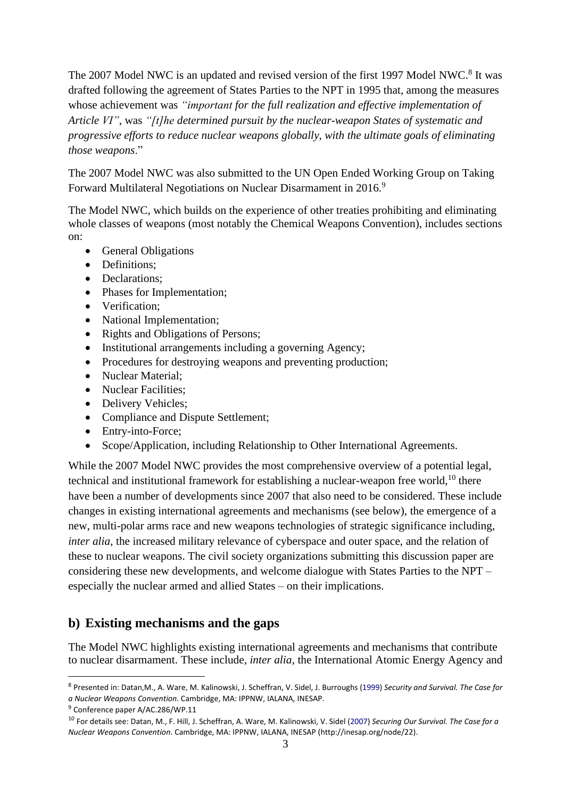The 2007 Model NWC is an updated and revised version of the first 1997 Model NWC.<sup>8</sup> It was drafted following the agreement of States Parties to the NPT in 1995 that, among the measures whose achievement was *"important for the full realization and effective implementation of Article VI"*, was *"[t]he determined pursuit by the nuclear-weapon States of systematic and progressive efforts to reduce nuclear weapons globally, with the ultimate goals of eliminating those weapons*."

The 2007 Model NWC was also submitted to the UN Open Ended Working Group on Taking Forward Multilateral Negotiations on Nuclear Disarmament in 2016.<sup>9</sup>

The Model NWC, which builds on the experience of other treaties prohibiting and eliminating whole classes of weapons (most notably the Chemical Weapons Convention), includes sections on:

- General Obligations
- Definitions;
- Declarations:
- Phases for Implementation;
- Verification;
- National Implementation;
- Rights and Obligations of Persons;
- Institutional arrangements including a governing Agency;
- Procedures for destroying weapons and preventing production;
- Nuclear Material:
- Nuclear Facilities;
- Delivery Vehicles;
- Compliance and Dispute Settlement;
- Entry-into-Force;
- Scope/Application, including Relationship to Other International Agreements.

While the 2007 Model NWC provides the most comprehensive overview of a potential legal, technical and institutional framework for establishing a nuclear-weapon free world, $10$  there have been a number of developments since 2007 that also need to be considered. These include changes in existing international agreements and mechanisms (see below), the emergence of a new, multi-polar arms race and new weapons technologies of strategic significance including, *inter alia*, the increased military relevance of cyberspace and outer space, and the relation of these to nuclear weapons. The civil society organizations submitting this discussion paper are considering these new developments, and welcome dialogue with States Parties to the NPT – especially the nuclear armed and allied States – on their implications.

## **b) Existing mechanisms and the gaps**

The Model NWC highlights existing international agreements and mechanisms that contribute to nuclear disarmament. These include, *inter alia*, the International Atomic Energy Agency and

<sup>8</sup> Presented in: Datan,M., A. Ware, M. Kalinowski, J. Scheffran, V. Sidel, J. Burroughs (1999) *Security and Survival. The Case for a Nuclear Weapons Convention*. Cambridge, MA: IPPNW, IALANA, INESAP.

<sup>&</sup>lt;sup>9</sup> Conference paper A/AC.286/WP.11

<sup>10</sup> For details see: Datan, M., F. Hill, J. Scheffran, A. Ware, M. Kalinowski, V. Sidel (2007) *Securing Our Survival. The Case for a Nuclear Weapons Convention*. Cambridge, MA: IPPNW, IALANA, INESAP (http://inesap.org/node/22).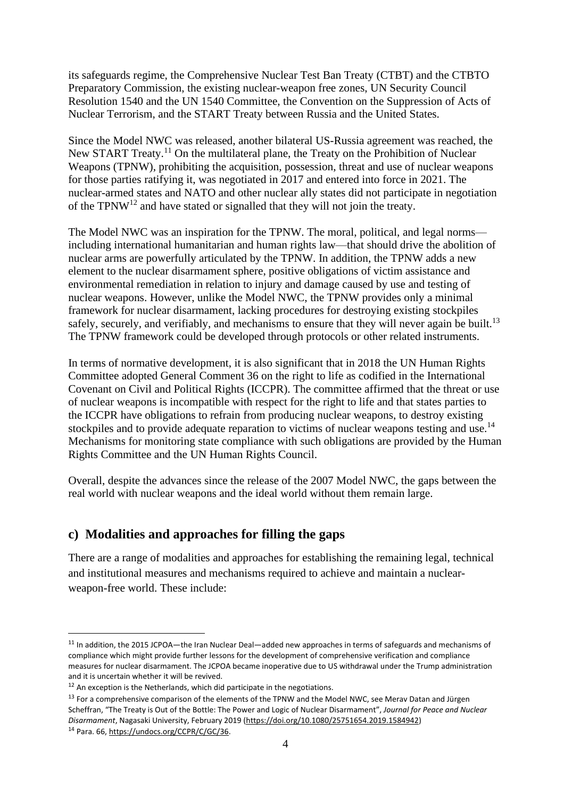its safeguards regime, the Comprehensive Nuclear Test Ban Treaty (CTBT) and the CTBTO Preparatory Commission, the existing nuclear-weapon free zones, UN Security Council Resolution 1540 and the UN 1540 Committee, the Convention on the Suppression of Acts of Nuclear Terrorism, and the START Treaty between Russia and the United States.

Since the Model NWC was released, another bilateral US-Russia agreement was reached, the New START Treaty.<sup>11</sup> On the multilateral plane, the Treaty on the Prohibition of Nuclear Weapons (TPNW), prohibiting the acquisition, possession, threat and use of nuclear weapons for those parties ratifying it, was negotiated in 2017 and entered into force in 2021. The nuclear-armed states and NATO and other nuclear ally states did not participate in negotiation of the TPNW<sup>12</sup> and have stated or signalled that they will not join the treaty.

The Model NWC was an inspiration for the TPNW. The moral, political, and legal norms including international humanitarian and human rights law—that should drive the abolition of nuclear arms are powerfully articulated by the TPNW. In addition, the TPNW adds a new element to the nuclear disarmament sphere, positive obligations of victim assistance and environmental remediation in relation to injury and damage caused by use and testing of nuclear weapons. However, unlike the Model NWC, the TPNW provides only a minimal framework for nuclear disarmament, lacking procedures for destroying existing stockpiles safely, securely, and verifiably, and mechanisms to ensure that they will never again be built.<sup>13</sup> The TPNW framework could be developed through protocols or other related instruments.

In terms of normative development, it is also significant that in 2018 the UN Human Rights Committee adopted General Comment 36 on the right to life as codified in the International Covenant on Civil and Political Rights (ICCPR). The committee affirmed that the threat or use of nuclear weapons is incompatible with respect for the right to life and that states parties to the ICCPR have obligations to refrain from producing nuclear weapons, to destroy existing stockpiles and to provide adequate reparation to victims of nuclear weapons testing and use.<sup>14</sup> Mechanisms for monitoring state compliance with such obligations are provided by the Human Rights Committee and the UN Human Rights Council.

Overall, despite the advances since the release of the 2007 Model NWC, the gaps between the real world with nuclear weapons and the ideal world without them remain large.

## **c) Modalities and approaches for filling the gaps**

There are a range of modalities and approaches for establishing the remaining legal, technical and institutional measures and mechanisms required to achieve and maintain a nuclearweapon-free world. These include:

<sup>&</sup>lt;sup>11</sup> In addition, the 2015 JCPOA—the Iran Nuclear Deal—added new approaches in terms of safeguards and mechanisms of compliance which might provide further lessons for the development of comprehensive verification and compliance measures for nuclear disarmament. The JCPOA became inoperative due to US withdrawal under the Trump administration and it is uncertain whether it will be revived.

 $12$  An exception is the Netherlands, which did participate in the negotiations.

<sup>&</sup>lt;sup>13</sup> For a comprehensive comparison of the elements of the TPNW and the Model NWC, see Merav Datan and Jürgen Scheffran, "The Treaty is Out of the Bottle: The Power and Logic of Nuclear Disarmament", *Journal for Peace and Nuclear Disarmament*, Nagasaki University, February 2019 (https://doi.org/10.1080/25751654.2019.1584942)

<sup>14</sup> Para. 66, [https://undocs.org/CCPR/C/GC/36.](https://undocs.org/CCPR/C/GC/36)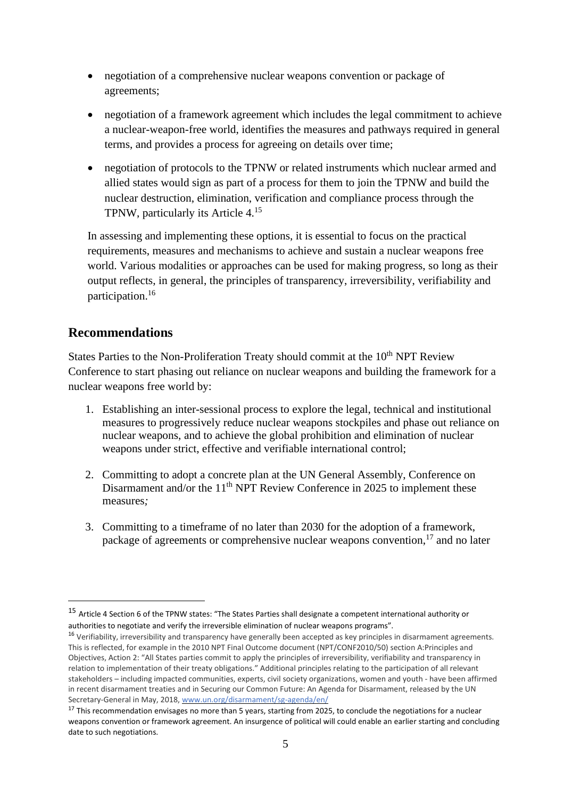- negotiation of a comprehensive nuclear weapons convention or package of agreements;
- negotiation of a framework agreement which includes the legal commitment to achieve a nuclear-weapon-free world, identifies the measures and pathways required in general terms, and provides a process for agreeing on details over time;
- negotiation of protocols to the TPNW or related instruments which nuclear armed and allied states would sign as part of a process for them to join the TPNW and build the nuclear destruction, elimination, verification and compliance process through the TPNW, particularly its Article 4. 15

In assessing and implementing these options, it is essential to focus on the practical requirements, measures and mechanisms to achieve and sustain a nuclear weapons free world. Various modalities or approaches can be used for making progress, so long as their output reflects, in general, the principles of transparency, irreversibility, verifiability and participation. 16

## **Recommendations**

States Parties to the Non-Proliferation Treaty should commit at the 10<sup>th</sup> NPT Review Conference to start phasing out reliance on nuclear weapons and building the framework for a nuclear weapons free world by:

- 1. Establishing an inter-sessional process to explore the legal, technical and institutional measures to progressively reduce nuclear weapons stockpiles and phase out reliance on nuclear weapons, and to achieve the global prohibition and elimination of nuclear weapons under strict, effective and verifiable international control;
- 2. Committing to adopt a concrete plan at the UN General Assembly, Conference on Disarmament and/or the  $11<sup>th</sup>$  NPT Review Conference in 2025 to implement these measures*;*
- 3. Committing to a timeframe of no later than 2030 for the adoption of a framework, package of agreements or comprehensive nuclear weapons convention,<sup>17</sup> and no later

<sup>15</sup> Article 4 Section 6 of the TPNW states: "The States Parties shall designate a competent international authority or authorities to negotiate and verify the irreversible elimination of nuclear weapons programs".

<sup>&</sup>lt;sup>16</sup> Verifiability, irreversibility and transparency have generally been accepted as key principles in disarmament agreements. This is reflected, for example in the 2010 NPT Final Outcome document (NPT/CONF2010/50) section A:Principles and Objectives, Action 2: "All States parties commit to apply the principles of irreversibility, verifiability and transparency in relation to implementation of their treaty obligations." Additional principles relating to the participation of all relevant stakeholders – including impacted communities, experts, civil society organizations, women and youth - have been affirmed in recent disarmament treaties and in Securing our Common Future: An Agenda for Disarmament, released by the UN Secretary-General in May, 2018, [www.un.org/disarmament/sg-agenda/en/](http://www.un.org/disarmament/sg-agenda/en/)

 $17$  This recommendation envisages no more than 5 years, starting from 2025, to conclude the negotiations for a nuclear weapons convention or framework agreement. An insurgence of political will could enable an earlier starting and concluding date to such negotiations.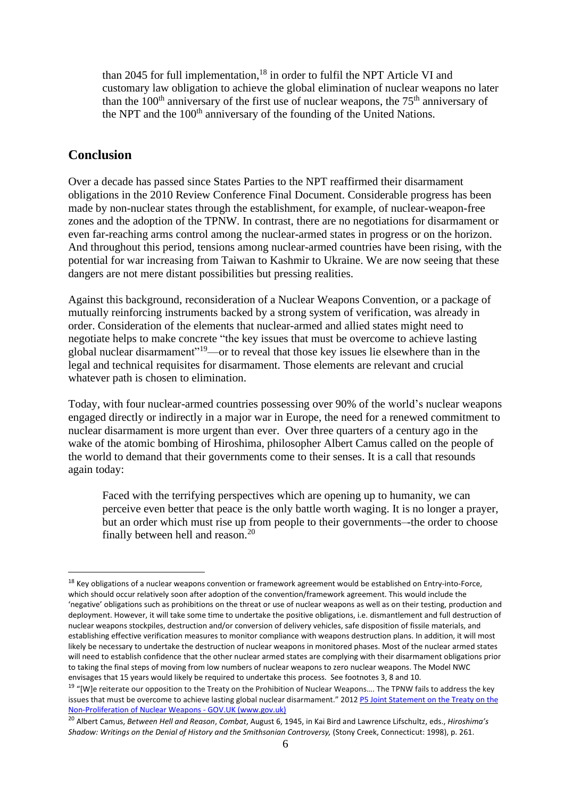than 2045 for full implementation, <sup>18</sup> in order to fulfil the NPT Article VI and customary law obligation to achieve the global elimination of nuclear weapons no later than the  $100<sup>th</sup>$  anniversary of the first use of nuclear weapons, the  $75<sup>th</sup>$  anniversary of the NPT and the 100<sup>th</sup> anniversary of the founding of the United Nations.

#### **Conclusion**

Over a decade has passed since States Parties to the NPT reaffirmed their disarmament obligations in the 2010 Review Conference Final Document. Considerable progress has been made by non-nuclear states through the establishment, for example, of nuclear-weapon-free zones and the adoption of the TPNW. In contrast, there are no negotiations for disarmament or even far-reaching arms control among the nuclear-armed states in progress or on the horizon. And throughout this period, tensions among nuclear-armed countries have been rising, with the potential for war increasing from Taiwan to Kashmir to Ukraine. We are now seeing that these dangers are not mere distant possibilities but pressing realities.

Against this background, reconsideration of a Nuclear Weapons Convention, or a package of mutually reinforcing instruments backed by a strong system of verification, was already in order. Consideration of the elements that nuclear-armed and allied states might need to negotiate helps to make concrete "the key issues that must be overcome to achieve lasting global nuclear disarmament"<sup>19</sup>—or to reveal that those key issues lie elsewhere than in the legal and technical requisites for disarmament. Those elements are relevant and crucial whatever path is chosen to elimination.

Today, with four nuclear-armed countries possessing over 90% of the world's nuclear weapons engaged directly or indirectly in a major war in Europe, the need for a renewed commitment to nuclear disarmament is more urgent than ever. Over three quarters of a century ago in the wake of the atomic bombing of Hiroshima, philosopher Albert Camus called on the people of the world to demand that their governments come to their senses. It is a call that resounds again today:

Faced with the terrifying perspectives which are opening up to humanity, we can perceive even better that peace is the only battle worth waging. It is no longer a prayer, but an order which must rise up from people to their governments–-the order to choose finally between hell and reason.<sup>20</sup>

<sup>&</sup>lt;sup>18</sup> Key obligations of a nuclear weapons convention or framework agreement would be established on Entry-into-Force, which should occur relatively soon after adoption of the convention/framework agreement. This would include the 'negative' obligations such as prohibitions on the threat or use of nuclear weapons as well as on their testing, production and deployment. However, it will take some time to undertake the positive obligations, i.e. dismantlement and full destruction of nuclear weapons stockpiles, destruction and/or conversion of delivery vehicles, safe disposition of fissile materials, and establishing effective verification measures to monitor compliance with weapons destruction plans. In addition, it will most likely be necessary to undertake the destruction of nuclear weapons in monitored phases. Most of the nuclear armed states will need to establish confidence that the other nuclear armed states are complying with their disarmament obligations prior to taking the final steps of moving from low numbers of nuclear weapons to zero nuclear weapons. The Model NWC envisages that 15 years would likely be required to undertake this process. See footnotes 3, 8 and 10.

<sup>&</sup>lt;sup>19</sup> "[W]e reiterate our opposition to the Treaty on the Prohibition of Nuclear Weapons.... The TPNW fails to address the key issues that must be overcome to achieve lasting global nuclear disarmament." 2012 P5 Joint [Statement](https://www.gov.uk/government/news/p5-joint-statement-on-the-treaty-on-the-non-proliferation-of-nuclear-weapons) on the Treaty on the [Non-Proliferation](https://www.gov.uk/government/news/p5-joint-statement-on-the-treaty-on-the-non-proliferation-of-nuclear-weapons) of Nuclear Weapons - GOV.UK (www.gov.uk)

<sup>20</sup> Albert Camus, *Between Hell and Reason*, *Combat*, August 6, 1945, in Kai Bird and Lawrence Lifschultz, eds., *Hiroshima's Shadow: Writings on the Denial of History and the Smithsonian Controversy,* (Stony Creek, Connecticut: 1998), p. 261.